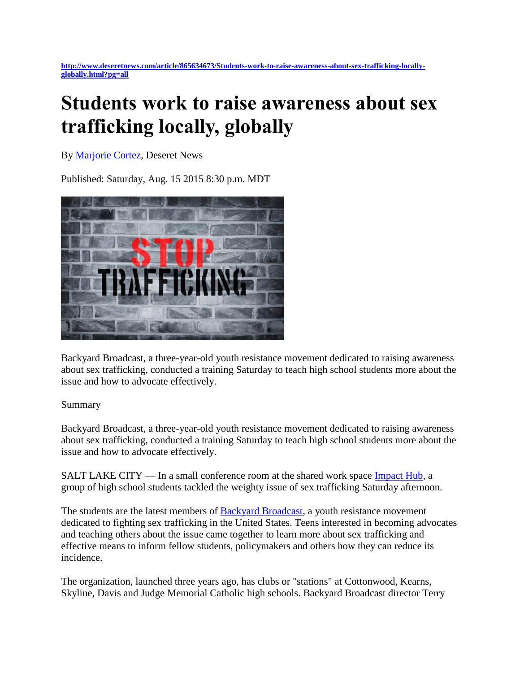**[http://www.deseretnews.com/article/865634673/Students-work-to-raise-awareness-about-sex-trafficking-locally](http://www.deseretnews.com/article/865634673/Students-work-to-raise-awareness-about-sex-trafficking-locally-globally.html?pg=all)[globally.html?pg=all](http://www.deseretnews.com/article/865634673/Students-work-to-raise-awareness-about-sex-trafficking-locally-globally.html?pg=all)**

## **Students work to raise awareness about sex trafficking locally, globally**

By [Marjorie Cortez,](http://www.deseretnews.com/author/16/Marjorie-Cortez.html) Deseret News

Published: Saturday, Aug. 15 2015 8:30 p.m. MDT



Backyard Broadcast, a three-year-old youth resistance movement dedicated to raising awareness about sex trafficking, conducted a training Saturday to teach high school students more about the issue and how to advocate effectively.

## Summary

Backyard Broadcast, a three-year-old youth resistance movement dedicated to raising awareness about sex trafficking, conducted a training Saturday to teach high school students more about the issue and how to advocate effectively.

SALT LAKE CITY — In a small conference room at the shared work space [Impact Hub,](http://saltlake.impacthub.net/) a group of high school students tackled the weighty issue of sex trafficking Saturday afternoon.

The students are the latest members of [Backyard Broadcast,](http://www.backyardbroadcast.org/about/) a youth resistance movement dedicated to fighting sex trafficking in the United States. Teens interested in becoming advocates and teaching others about the issue came together to learn more about sex trafficking and effective means to inform fellow students, policymakers and others how they can reduce its incidence.

The organization, launched three years ago, has clubs or "stations" at Cottonwood, Kearns, Skyline, Davis and Judge Memorial Catholic high schools. Backyard Broadcast director Terry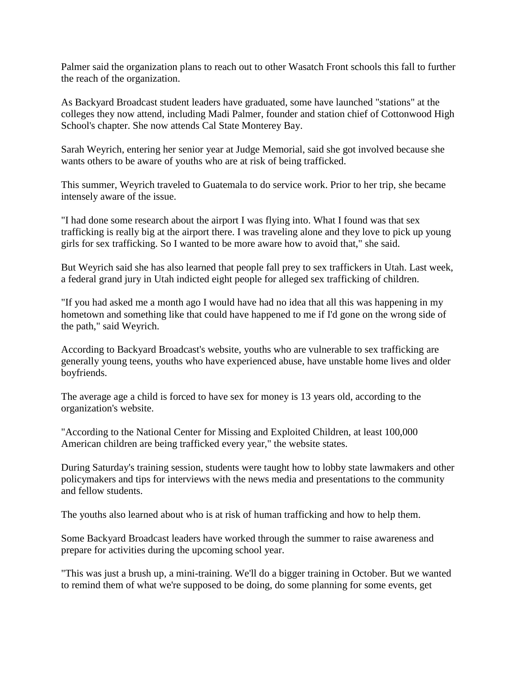Palmer said the organization plans to reach out to other Wasatch Front schools this fall to further the reach of the organization.

As Backyard Broadcast student leaders have graduated, some have launched "stations" at the colleges they now attend, including Madi Palmer, founder and station chief of Cottonwood High School's chapter. She now attends Cal State Monterey Bay.

Sarah Weyrich, entering her senior year at Judge Memorial, said she got involved because she wants others to be aware of youths who are at risk of being trafficked.

This summer, Weyrich traveled to Guatemala to do service work. Prior to her trip, she became intensely aware of the issue.

"I had done some research about the airport I was flying into. What I found was that sex trafficking is really big at the airport there. I was traveling alone and they love to pick up young girls for sex trafficking. So I wanted to be more aware how to avoid that," she said.

But Weyrich said she has also learned that people fall prey to sex traffickers in Utah. Last week, a federal grand jury in Utah indicted eight people for alleged sex trafficking of children.

"If you had asked me a month ago I would have had no idea that all this was happening in my hometown and something like that could have happened to me if I'd gone on the wrong side of the path," said Weyrich.

According to Backyard Broadcast's website, youths who are vulnerable to sex trafficking are generally young teens, youths who have experienced abuse, have unstable home lives and older boyfriends.

The average age a child is forced to have sex for money is 13 years old, according to the organization's website.

"According to the National Center for Missing and Exploited Children, at least 100,000 American children are being trafficked every year," the website states.

During Saturday's training session, students were taught how to lobby state lawmakers and other policymakers and tips for interviews with the news media and presentations to the community and fellow students.

The youths also learned about who is at risk of human trafficking and how to help them.

Some Backyard Broadcast leaders have worked through the summer to raise awareness and prepare for activities during the upcoming school year.

"This was just a brush up, a mini-training. We'll do a bigger training in October. But we wanted to remind them of what we're supposed to be doing, do some planning for some events, get